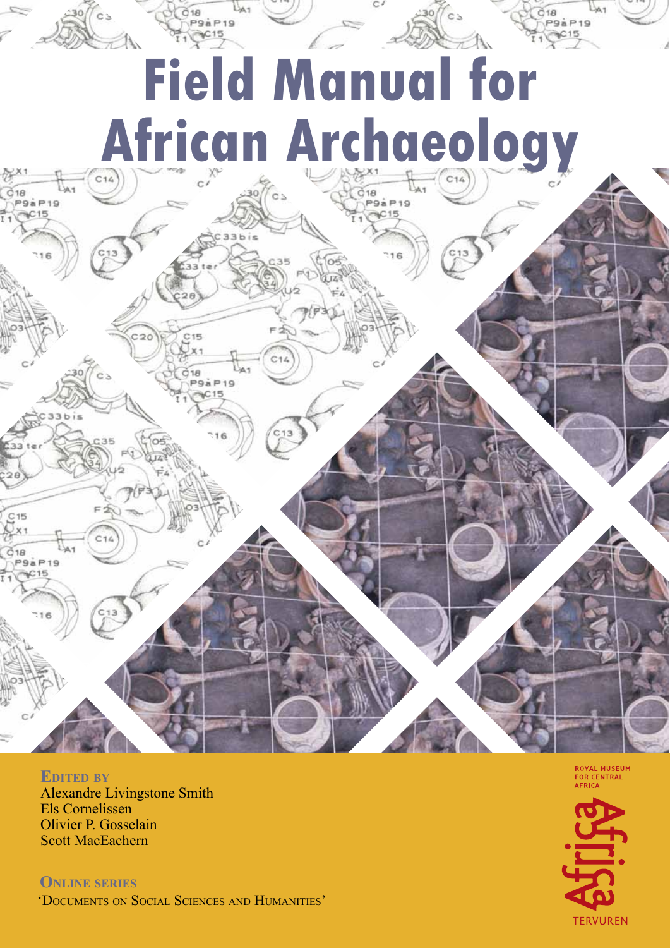# **Field Manual for African Archaeology**

gà P<sub>19</sub>

## **Edited by** Alexandre Livingstone Smith Els Cornelissen Olivier P. Gosselain

Scott MacEachern

 $18$ **P9a P19** 

C<sub>15</sub>

 $18$ **P9aP19** 

 $C15$ 

**Online series** 'Documents on Social Sciences and Humanities'

18 **P9a P19** 

> **ROYAL MUSEUM** FOR CENTRAL

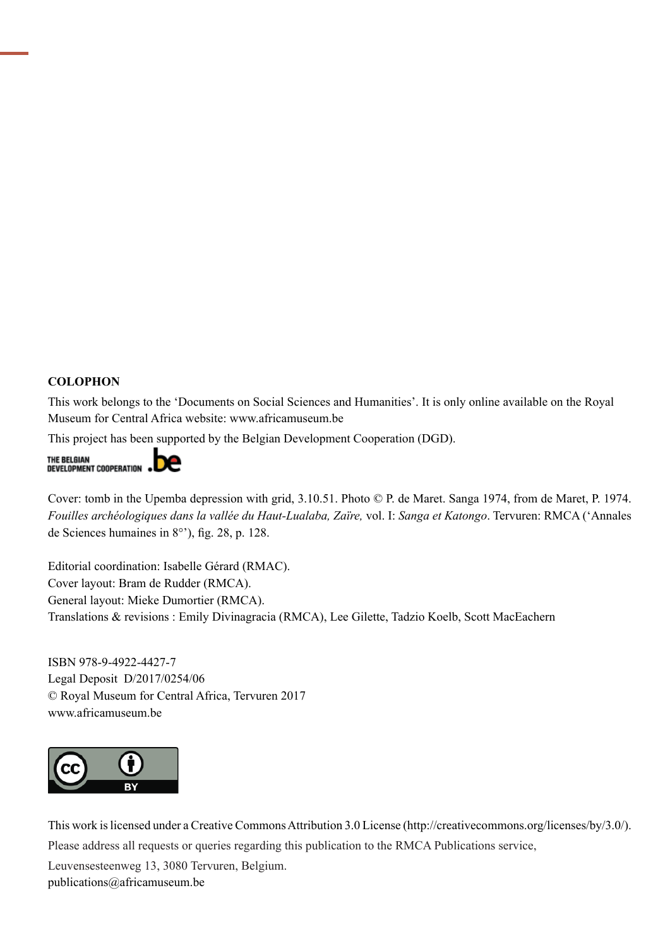### **COLOPHON**

This work belongs to the 'Documents on Social Sciences and Humanities'. It is only online available on the Royal Museum for Central Africa website: [www.africamuseum.be](http://www.africamuseum.be)

This project has been supported by the Belgian Development Cooperation (DGD).



Cover: tomb in the Upemba depression with grid, 3.10.51. Photo © P. de Maret. Sanga 1974, from de Maret, P. 1974. *Fouilles archéologiques dans la vallée du Haut-Lualaba, Zaïre,* vol. I: *Sanga et Katongo*. Tervuren: RMCA ('Annales de Sciences humaines in 8°'), fig. 28, p. 128.

Editorial coordination: Isabelle Gérard (RMAC). Cover layout: Bram de Rudder (RMCA). General layout: Mieke Dumortier (RMCA). Translations & revisions : Emily Divinagracia (RMCA), Lee Gilette, Tadzio Koelb, Scott MacEachern

ISBN 978-9-4922-4427-7 Legal Deposit D/2017/0254/06 © Royal Museum for Central Africa, Tervuren 2017 <www.africamuseum.be>



This work is licensed under a Creative Commons Attribution 3.0 License ([http://creativecommons.org/licenses/by/](http://creativecommons.org/licenses/by)3.0/). Please address all requests or queries regarding this publication to the RMCA Publications service,

Leuvensesteenweg 13, 3080 Tervuren, Belgium. <publications@africamuseum.be>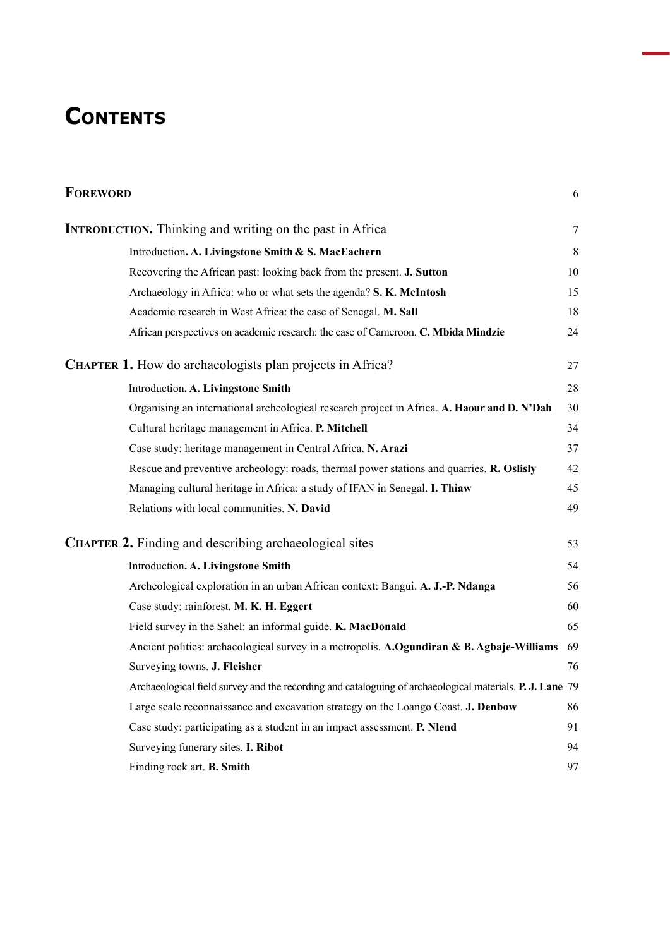## **Contents**

| <b>FOREWORD</b>                                                                                          | 6       |
|----------------------------------------------------------------------------------------------------------|---------|
| <b>INTRODUCTION.</b> Thinking and writing on the past in Africa                                          | 7       |
| Introduction. A. Livingstone Smith & S. MacEachern                                                       | $\,8\,$ |
| Recovering the African past: looking back from the present. J. Sutton                                    | 10      |
| Archaeology in Africa: who or what sets the agenda? S. K. McIntosh                                       | 15      |
| Academic research in West Africa: the case of Senegal. M. Sall                                           | 18      |
| African perspectives on academic research: the case of Cameroon. C. Mbida Mindzie                        | 24      |
| <b>CHAPTER 1.</b> How do archaeologists plan projects in Africa?                                         | 27      |
| Introduction. A. Livingstone Smith                                                                       | 28      |
| Organising an international archeological research project in Africa. A. Haour and D. N'Dah              | 30      |
| Cultural heritage management in Africa. P. Mitchell                                                      | 34      |
| Case study: heritage management in Central Africa. N. Arazi                                              | 37      |
| Rescue and preventive archeology: roads, thermal power stations and quarries. R. Oslisly                 | 42      |
| Managing cultural heritage in Africa: a study of IFAN in Senegal. I. Thiaw                               | 45      |
| Relations with local communities. N. David                                                               | 49      |
| <b>CHAPTER 2.</b> Finding and describing archaeological sites                                            | 53      |
| Introduction. A. Livingstone Smith                                                                       | 54      |
| Archeological exploration in an urban African context: Bangui. A. J.-P. Ndanga                           | 56      |
| Case study: rainforest. M. K. H. Eggert                                                                  | 60      |
| Field survey in the Sahel: an informal guide. K. MacDonald                                               | 65      |
| Ancient polities: archaeological survey in a metropolis. A.Ogundiran & B. Agbaje-Williams                | 69      |
| Surveying towns. J. Fleisher                                                                             | 76      |
| Archaeological field survey and the recording and cataloguing of archaeological materials. P. J. Lane 79 |         |
| Large scale reconnaissance and excavation strategy on the Loango Coast. J. Denbow                        | 86      |
| Case study: participating as a student in an impact assessment. P. Nlend                                 | 91      |
| Surveying funerary sites. I. Ribot                                                                       | 94      |
| Finding rock art. B. Smith                                                                               | 97      |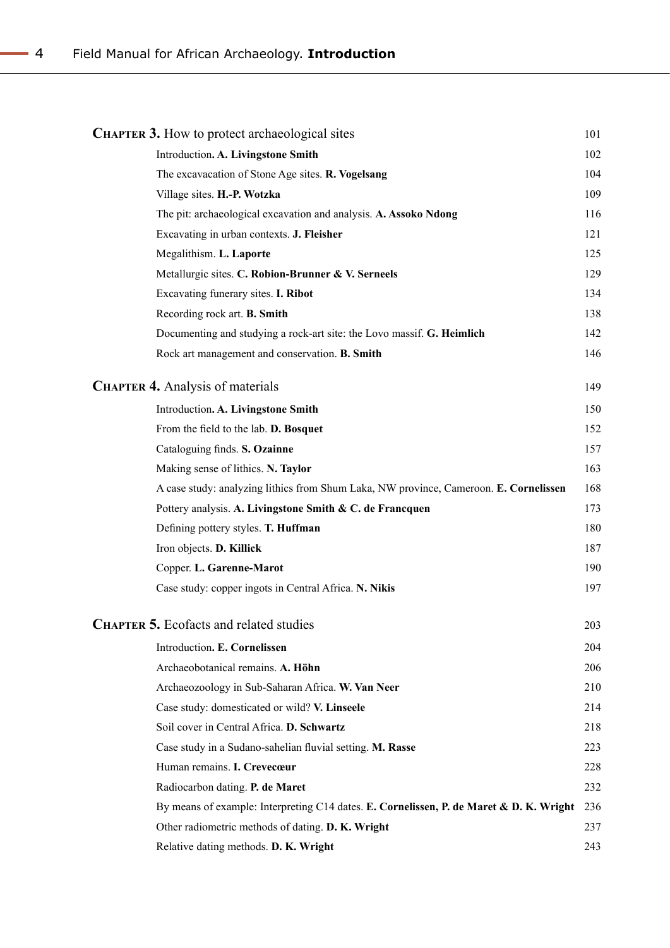| <b>CHAPTER 3.</b> How to protect archaeological sites                                   | 101 |
|-----------------------------------------------------------------------------------------|-----|
| Introduction. A. Livingstone Smith                                                      | 102 |
| The excavacation of Stone Age sites. R. Vogelsang                                       | 104 |
| Village sites. H.-P. Wotzka                                                             | 109 |
| The pit: archaeological excavation and analysis. A. Assoko Ndong                        | 116 |
| Excavating in urban contexts. J. Fleisher                                               | 121 |
| Megalithism. L. Laporte                                                                 | 125 |
| Metallurgic sites. C. Robion-Brunner & V. Serneels                                      | 129 |
| Excavating funerary sites. I. Ribot                                                     | 134 |
| Recording rock art. B. Smith                                                            | 138 |
| Documenting and studying a rock-art site: the Lovo massif. G. Heimlich                  | 142 |
| Rock art management and conservation. B. Smith                                          | 146 |
| <b>CHAPTER 4. Analysis of materials</b>                                                 | 149 |
| Introduction. A. Livingstone Smith                                                      | 150 |
| From the field to the lab. D. Bosquet                                                   | 152 |
| Cataloguing finds. S. Ozainne                                                           | 157 |
| Making sense of lithics. N. Taylor                                                      | 163 |
| A case study: analyzing lithics from Shum Laka, NW province, Cameroon. E. Cornelissen   | 168 |
| Pottery analysis. A. Livingstone Smith & C. de Francquen                                | 173 |
| Defining pottery styles. T. Huffman                                                     | 180 |
| Iron objects. D. Killick                                                                | 187 |
| Copper. L. Garenne-Marot                                                                | 190 |
| Case study: copper ingots in Central Africa. N. Nikis                                   | 197 |
| <b>CHAPTER 5.</b> Ecofacts and related studies                                          | 203 |
| Introduction. E. Cornelissen                                                            | 204 |
| Archaeobotanical remains. A. Höhn                                                       | 206 |
| Archaeozoology in Sub-Saharan Africa. W. Van Neer                                       | 210 |
| Case study: domesticated or wild? V. Linseele                                           | 214 |
| Soil cover in Central Africa. D. Schwartz                                               | 218 |
| Case study in a Sudano-sahelian fluvial setting. M. Rasse                               | 223 |
| Human remains. I. Crevecœur                                                             | 228 |
| Radiocarbon dating. P. de Maret                                                         | 232 |
| By means of example: Interpreting C14 dates. E. Cornelissen, P. de Maret & D. K. Wright | 236 |
| Other radiometric methods of dating. D. K. Wright                                       | 237 |
| Relative dating methods. D. K. Wright                                                   | 243 |

$$
\overline{a}
$$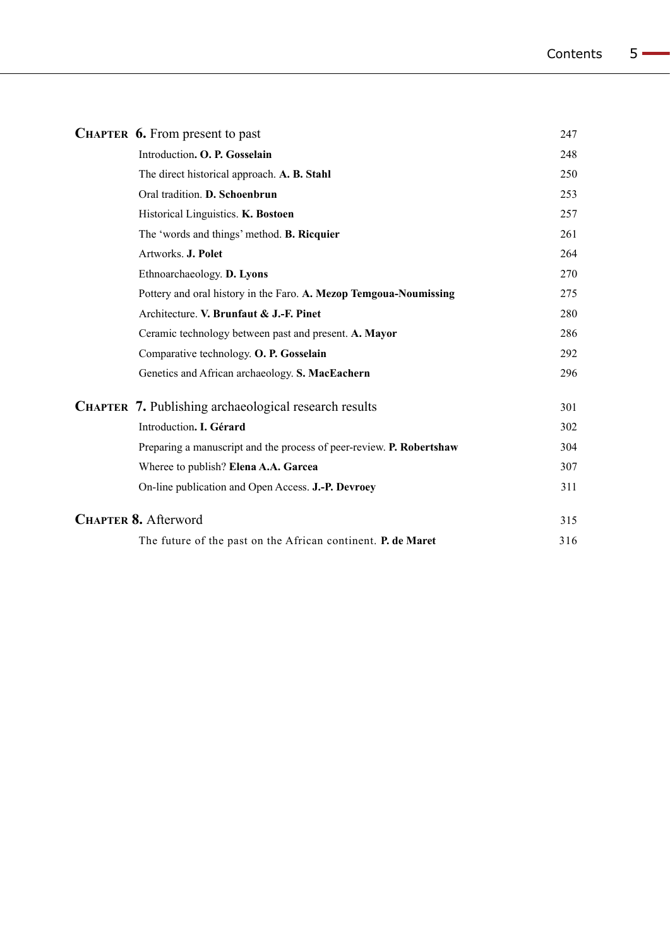|  | <b>CHAPTER 6.</b> From present to past                               | 247 |
|--|----------------------------------------------------------------------|-----|
|  | Introduction. O. P. Gosselain                                        | 248 |
|  | The direct historical approach. A. B. Stahl                          | 250 |
|  | Oral tradition. D. Schoenbrun                                        | 253 |
|  | Historical Linguistics. K. Bostoen                                   | 257 |
|  | The 'words and things' method. <b>B. Ricquier</b>                    | 261 |
|  | Artworks. J. Polet                                                   | 264 |
|  | Ethnoarchaeology. D. Lyons                                           | 270 |
|  | Pottery and oral history in the Faro. A. Mezop Temgoua-Noumissing    | 275 |
|  | Architecture. V. Brunfaut & J.-F. Pinet                              | 280 |
|  | Ceramic technology between past and present. A. Mayor                | 286 |
|  | Comparative technology. O. P. Gosselain                              | 292 |
|  | Genetics and African archaeology. S. MacEachern                      | 296 |
|  | CHAPTER 7. Publishing archaeological research results                | 301 |
|  | Introduction. I. Gérard                                              | 302 |
|  | Preparing a manuscript and the process of peer-review. P. Robertshaw | 304 |
|  | Wheree to publish? Elena A.A. Garcea                                 | 307 |
|  | On-line publication and Open Access. J.-P. Devroey                   | 311 |
|  | <b>CHAPTER 8. Afterword</b>                                          | 315 |
|  | The future of the past on the African continent. P. de Maret         | 316 |